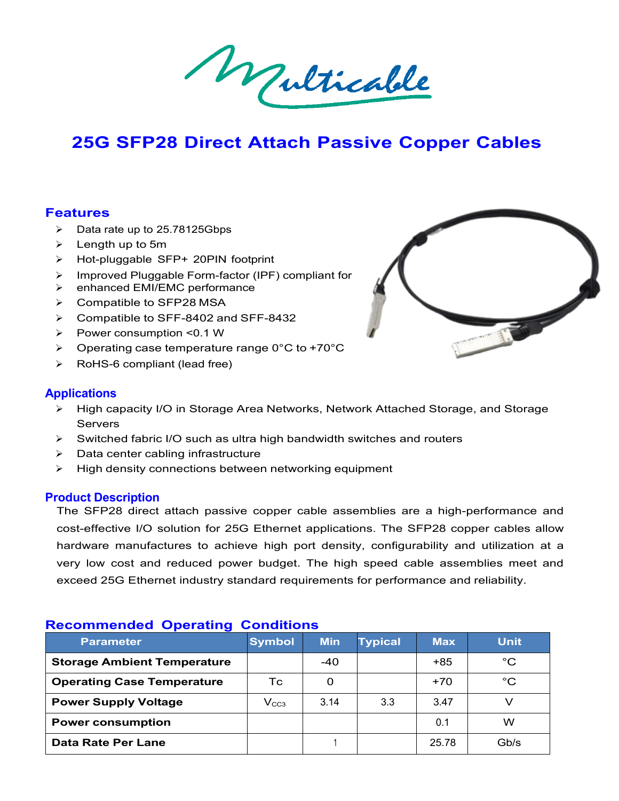**25G SFP28 Direct Attach Passive Copper Cables**<br>
25G SFP28 Direct Attach Passive Copper Cables<br>
United and to 25.78125Gbbs

# 25G SFP28 Direct Attach P<br>
eatures<br>
> Data rate up to 25.78125Gbps<br>
> Length up to 5m<br>
> Hot-pluggable SFP+ 20PIN footprint<br>
> Improved Pluggable Form-factor (IPF) compliating 25G SFP28 Direct Attach F<br>
eatures<br>
→ Data rate up to 25.78125Gbps<br>
→ Length up to 5m<br>
→ Hot-pluggable SFP+ 20PIN footprint<br>
→ Improved Pluggable Form-factor (IPF) complia<br>
→ enhanced EMI/EMC performance **25G SFP28 Direct Attach Passiv<br>
eatures**<br>
> Data rate up to 25.78125Gbps<br>
> Length up to 5m<br>
> Hot-pluggable SFP+ 20PIN footprint<br>
> Improved Pluggable Form-factor (IPF) compliant for<br>
> enhanced EMI/EMC performance<br>
> Co **25G SFP28 Direct Attach Pass**<br> **eatures**<br> **>** Data rate up to 25.78125Gbps<br> **>** Length up to 5m<br> **>** Hot-pluggable SFP+ 20PIN footprint<br> **>** Improved Pluggable Form-factor (IPF) compliant for<br> **>** enhanced EMI/EMC perfo

# **Features**

- 
- 
- 
- 
- 
- 
- 
- 
- **eatures**<br>  $\triangleright$  Data rate up to 25.78125Gbps<br>  $\triangleright$  Length up to 5m<br>  $\triangleright$  Hot-pluggable SFP+ 20PIN footprint<br>  $\triangleright$  Improved Pluggable Form-factor (IPF) compliant for<br>  $\triangleright$  enhanced EMI/EMC performance<br>  $\triangleright$  Com
- 



# **Applications**

- A Data rate up to 25.78125Gbps<br>
A Length up to 5m<br>
A Hot-pluggable SFP+ 20PIN footprint<br>
A Hot-pluggable SFP+ 20PIN footprint<br>
A Improved Pluggable Form-factor (IPF) compliant for<br>
A compatible to SFP28 MSA<br>
A Compatible Servers > Compatible to SFF-8402 and SFF-8432<br>
> Power consumption <0.1 W<br>
> Operating case temperature range 0°C to +70°C<br>
> RoHS-6 compliant (lead free)<br>
<br> **pplications**<br>
> High capacity I/O in Storage Area Networks, Networ<br>
Se A Dompanine to UTT-0402 and UTT-0432<br>
A Depending case temperature range 0°C to +70°C<br>
A Depending case temperature range 0°C to +70°C<br>
A RoHS-6 compliant (lead free)<br>
A High capacity I/O in Storage Area Networks, Network
- 
- 
- 

**Prover consumption <0.1 W**<br> **Prover consumption <0.1 W**<br> **Prover consumption (lead free)**<br> **Applications**<br> **Product Description**<br> **Product Description**<br> **Product Description**<br>
The SFP28 direct attach passive copper of co > RoHS-6 compliant (lead free)<br>
prications<br>
> High capacity I/O in Storage Area Networks, Network Attached Storage, and Storage<br>
Servers<br>
> Switched fabric I/O such as ultra high bandwidth switches and routers<br>
> Data cen **contrained Starter I/O** in Storage Area Networks, Network Attached Storage, and Storage<br>
Servers<br>
→ Switched fabric I/O such as ultra high bandwidth switches and routers<br>
→ Data center cabling infrastructure<br>
→ High dens Are<br>  $\triangleright$  High capacity I/O in Storage Area Networks, Network Attached Storage, and Storage<br>
Switched fabric I/O such as ultra high bandwidth switches and routers<br>  $\triangleright$  Data center cabling infrastructure<br>  $\triangleright$  High vertical and reduced fabric I/O such as ultra high bandwidth switches and routers<br>
by Switched fabric I/O such as ultra high bandwidth switches and routers<br>
by Data center cabling infrastructure<br>
by High density connectio in Switched fabric I/O such as ultra high bandwidth switches and routers<br>
⇒ Data center cabling infrastructure<br>
→ High density connections between networking equipment<br>
The SFP28 direct attach passive copper cable assembl → Data center cabling infrastructure<br>
→ High density connections between networking equipment<br> **Product Description**<br>
The SFP28 direct attach passive copper cable assemblies are a h<br>
cost-effective I/O solution for 25G Et

| cost-effective I/O solution for 25G Ethernet applications. The SFP28 copper cables allow |                  |            |                |            |              |
|------------------------------------------------------------------------------------------|------------------|------------|----------------|------------|--------------|
| hardware manufactures to achieve high port density, configurability and utilization at a |                  |            |                |            |              |
| very low cost and reduced power budget. The high speed cable assemblies meet and         |                  |            |                |            |              |
| exceed 25G Ethernet industry standard requirements for performance and reliability.      |                  |            |                |            |              |
| <b>Recommended Operating Conditions</b><br><b>Parameter</b>                              | <b>Symbol</b>    | <b>Min</b> | <b>Typical</b> | <b>Max</b> | <b>Unit</b>  |
|                                                                                          |                  |            |                |            |              |
| <b>Storage Ambient Temperature</b>                                                       |                  | $-40$      |                | +85        | $^{\circ}$ C |
| <b>Operating Case Temperature</b>                                                        | Тc               | $\Omega$   |                | $+70$      | $^{\circ}C$  |
| <b>Power Supply Voltage</b>                                                              | V <sub>CC3</sub> | 3.14       | 3.3            | 3.47       | $\vee$       |
| <b>Power consumption</b>                                                                 |                  |            |                | 0.1        | W            |
| <b>Data Rate Per Lane</b>                                                                |                  |            |                | 25.78      | Gb/s         |
|                                                                                          |                  |            |                |            |              |
|                                                                                          |                  |            |                |            |              |
|                                                                                          |                  |            |                |            |              |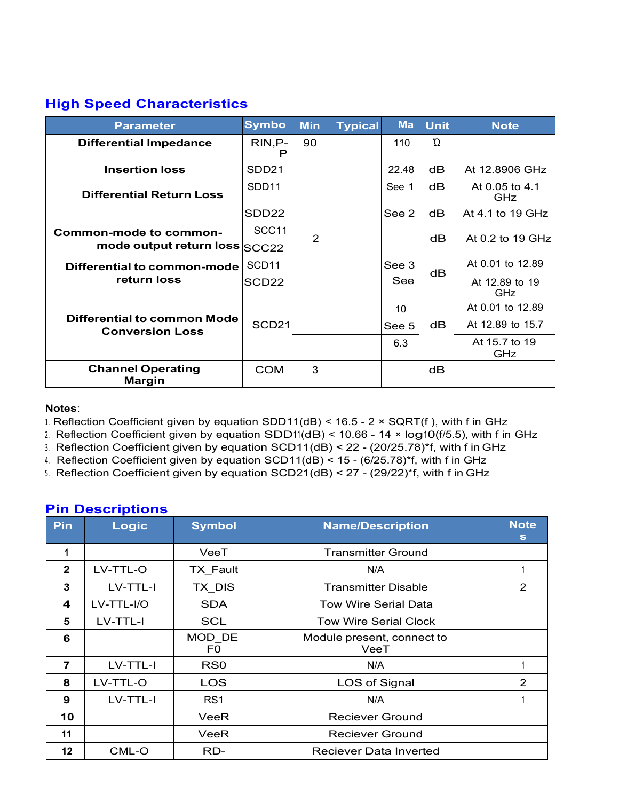| <b>High Speed Characteristics</b>                                                                                                                                                                                                                                                                                  |                   |                |                |                 |             |                                                                                         |
|--------------------------------------------------------------------------------------------------------------------------------------------------------------------------------------------------------------------------------------------------------------------------------------------------------------------|-------------------|----------------|----------------|-----------------|-------------|-----------------------------------------------------------------------------------------|
| <b>Parameter</b>                                                                                                                                                                                                                                                                                                   | <b>Symbo</b>      | <b>Min</b>     | <b>Typical</b> | <b>Ma</b>       | <b>Unit</b> | <b>Note</b>                                                                             |
| <b>Differential Impedance</b>                                                                                                                                                                                                                                                                                      | RIN, P-<br>P      | 90             |                | 110             | $\Omega$    |                                                                                         |
| <b>Insertion loss</b>                                                                                                                                                                                                                                                                                              | SDD <sub>21</sub> |                |                | 22.48           | dB          | At 12.8906 GHz                                                                          |
| <b>Differential Return Loss</b>                                                                                                                                                                                                                                                                                    | SDD <sub>11</sub> |                |                | See 1           | dB          | At 0.05 to 4.1<br>GHz                                                                   |
|                                                                                                                                                                                                                                                                                                                    | SDD <sub>22</sub> |                |                | See 2           | dB          | At 4.1 to 19 GHz                                                                        |
| <b>Common-mode to common-</b><br>mode output return loss SCC22                                                                                                                                                                                                                                                     | SCC11             | $\overline{2}$ |                |                 | dB          | At 0.2 to 19 GHz                                                                        |
| <b>Differential to common-mode</b>                                                                                                                                                                                                                                                                                 | SCD <sub>11</sub> |                |                | See 3           |             | At 0.01 to 12.89                                                                        |
| return loss                                                                                                                                                                                                                                                                                                        | SCD <sub>22</sub> |                |                | See             | dB          | At 12.89 to 19<br>GHz                                                                   |
|                                                                                                                                                                                                                                                                                                                    | SCD <sub>21</sub> |                |                | 10 <sup>°</sup> | dB          | At 0.01 to 12.89                                                                        |
| <b>Differential to common Mode</b><br><b>Conversion Loss</b>                                                                                                                                                                                                                                                       |                   |                |                | See 5           |             | At 12.89 to 15.7                                                                        |
|                                                                                                                                                                                                                                                                                                                    |                   |                |                | 6.3             |             | At 15.7 to 19<br>GHz                                                                    |
| <b>Channel Operating</b><br><b>Margin</b>                                                                                                                                                                                                                                                                          | <b>COM</b>        | 3              |                |                 | dB          |                                                                                         |
| Notes:<br>1. Reflection Coefficient given by equation SDD11(dB) < 16.5 - $2 \times$ SQRT(f), with f in GHz<br>2. Reflection Coefficient given by equation $SDD11(dB) < 10.66 - 14 \times log10(f/5.5)$ , with f in GHz<br>3. Reflection Coefficient given by equation SCD11(dB) < 22 - (20/25.78)*f, with f in GHz |                   |                |                |                 |             | 4. Reflection Coefficient given by equation SCD11(dB) < 15 - (6/25.78)*f, with f in GHz |

# **Notes**:

- 
- 
- 
- 

|                  |                                                                                                                                                                                                                                                                                                                                                                                                                                                                                                               |                          |                        |                                    |                            | 6.3 |  |  | At 15.7 to 19<br>GHz |  |
|------------------|---------------------------------------------------------------------------------------------------------------------------------------------------------------------------------------------------------------------------------------------------------------------------------------------------------------------------------------------------------------------------------------------------------------------------------------------------------------------------------------------------------------|--------------------------|------------------------|------------------------------------|----------------------------|-----|--|--|----------------------|--|
|                  | <b>Channel Operating</b><br><b>Margin</b>                                                                                                                                                                                                                                                                                                                                                                                                                                                                     |                          | <b>COM</b>             | 3                                  |                            |     |  |  |                      |  |
| Notes:           | 1. Reflection Coefficient given by equation SDD11(dB) < 16.5 - 2 $\times$ SQRT(f), with f in GHz<br>2. Reflection Coefficient given by equation $SDD11(dB) < 10.66 - 14 \times log10(f/5.5)$ , with f in GHz<br>3. Reflection Coefficient given by equation $SCD11(dB) < 22$ - $(20/25.78)$ <sup>*f</sup> , with f in GHz<br>4. Reflection Coefficient given by equation SCD11(dB) < 15 - (6/25.78)*f, with f in GHz<br>5. Reflection Coefficient given by equation SCD21(dB) < 27 - (29/22)*f, with f in GHz |                          |                        |                                    |                            |     |  |  |                      |  |
| Pin              | <b>Pin Descriptions</b><br>Logic                                                                                                                                                                                                                                                                                                                                                                                                                                                                              | <b>Symbol</b>            |                        |                                    | <b>Name/Description</b>    |     |  |  | <b>Note</b><br>S     |  |
| $\mathbf{1}$     |                                                                                                                                                                                                                                                                                                                                                                                                                                                                                                               | VeeT                     |                        |                                    | <b>Transmitter Ground</b>  |     |  |  |                      |  |
| $\overline{2}$   | LV-TTL-O                                                                                                                                                                                                                                                                                                                                                                                                                                                                                                      | <b>TX Fault</b>          |                        |                                    | N/A                        |     |  |  | $\mathbf{1}$         |  |
| 3                | LV-TTL-I                                                                                                                                                                                                                                                                                                                                                                                                                                                                                                      | TX DIS                   |                        |                                    | <b>Transmitter Disable</b> |     |  |  | $\overline{2}$       |  |
| $\boldsymbol{4}$ | LV-TTL-I/O                                                                                                                                                                                                                                                                                                                                                                                                                                                                                                    | <b>SDA</b>               |                        | <b>Tow Wire Serial Data</b>        |                            |     |  |  |                      |  |
| 5                | LV-TTL-I                                                                                                                                                                                                                                                                                                                                                                                                                                                                                                      | <b>SCL</b>               |                        | <b>Tow Wire Serial Clock</b>       |                            |     |  |  |                      |  |
| 6                |                                                                                                                                                                                                                                                                                                                                                                                                                                                                                                               | MOD DE<br>F <sub>0</sub> |                        | Module present, connect to<br>VeeT |                            |     |  |  |                      |  |
| $\overline{7}$   | LV-TTL-I                                                                                                                                                                                                                                                                                                                                                                                                                                                                                                      | RS <sub>0</sub>          |                        | N/A                                |                            |     |  |  |                      |  |
| 8                | LV-TTL-O                                                                                                                                                                                                                                                                                                                                                                                                                                                                                                      | <b>LOS</b>               |                        | LOS of Signal                      |                            |     |  |  |                      |  |
|                  | LV-TTL-I                                                                                                                                                                                                                                                                                                                                                                                                                                                                                                      | RS <sub>1</sub>          |                        | N/A                                |                            |     |  |  |                      |  |
| 9                |                                                                                                                                                                                                                                                                                                                                                                                                                                                                                                               |                          | <b>Reciever Ground</b> |                                    |                            |     |  |  |                      |  |
| 10               |                                                                                                                                                                                                                                                                                                                                                                                                                                                                                                               | VeeR                     |                        |                                    |                            |     |  |  |                      |  |
| 11               |                                                                                                                                                                                                                                                                                                                                                                                                                                                                                                               | VeeR                     |                        |                                    | <b>Reciever Ground</b>     |     |  |  |                      |  |